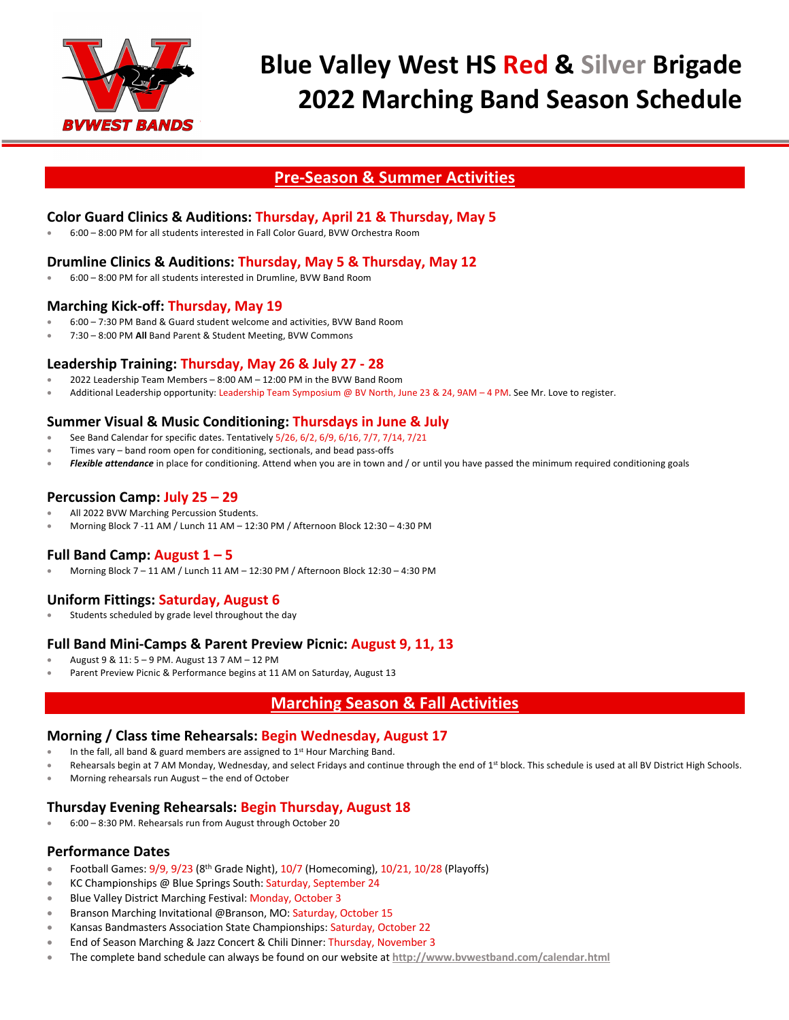

## **Pre-Season & Summer Activities**

## **Color Guard Clinics & Auditions: Thursday, April 21 & Thursday, May 5**

• 6:00 – 8:00 PM for all students interested in Fall Color Guard, BVW Orchestra Room

## **Drumline Clinics & Auditions: Thursday, May 5 & Thursday, May 12**

• 6:00 – 8:00 PM for all students interested in Drumline, BVW Band Room

#### **Marching Kick-off: Thursday, May 19**

- 6:00 7:30 PM Band & Guard student welcome and activities, BVW Band Room
- 7:30 8:00 PM **All** Band Parent & Student Meeting, BVW Commons

#### **Leadership Training: Thursday, May 26 & July 27 - 28**

- 2022 Leadership Team Members 8:00 AM 12:00 PM in the BVW Band Room
- Additional Leadership opportunity: Leadership Team Symposium @ BV North, June 23 & 24, 9AM 4 PM. See Mr. Love to register.

#### **Summer Visual & Music Conditioning: Thursdays in June & July**

- See Band Calendar for specific dates. Tentatively 5/26, 6/2, 6/9, 6/16, 7/7, 7/14, 7/21
- Times vary band room open for conditioning, sectionals, and bead pass-offs
- *Flexible attendance* in place for conditioning. Attend when you are in town and / or until you have passed the minimum required conditioning goals

## **Percussion Camp: July 25 – 29**

- All 2022 BVW Marching Percussion Students.
- Morning Block 7 -11 AM / Lunch 11 AM 12:30 PM / Afternoon Block 12:30 4:30 PM

#### **Full Band Camp: August 1 – 5**

• Morning Block 7 – 11 AM / Lunch 11 AM – 12:30 PM / Afternoon Block 12:30 – 4:30 PM

## **Uniform Fittings: Saturday, August 6**

Students scheduled by grade level throughout the day

## **Full Band Mini-Camps & Parent Preview Picnic: August 9, 11, 13**

- August 9 & 11: 5 9 PM. August 13 7 AM 12 PM
- Parent Preview Picnic & Performance begins at 11 AM on Saturday, August 13

## **Marching Season & Fall Activities**

#### **Morning / Class time Rehearsals: Begin Wednesday, August 17**

- In the fall, all band & guard members are assigned to  $1<sup>st</sup>$  Hour Marching Band.
- Rehearsals begin at 7 AM Monday, Wednesday, and select Fridays and continue through the end of 1<sup>st</sup> block. This schedule is used at all BV District High Schools.
- Morning rehearsals run August the end of October

#### **Thursday Evening Rehearsals: Begin Thursday, August 18**

• 6:00 – 8:30 PM. Rehearsals run from August through October 20

#### **Performance Dates**

- Football Games: 9/9, 9/23 (8th Grade Night), 10/7 (Homecoming), 10/21, 10/28 (Playoffs)
- KC Championships @ Blue Springs South: Saturday, September 24
- Blue Valley District Marching Festival: Monday, October 3
- Branson Marching Invitational @Branson, MO: Saturday, October 15
- Kansas Bandmasters Association State Championships: Saturday, October 22
- End of Season Marching & Jazz Concert & Chili Dinner: Thursday, November 3
- The complete band schedule can always be found on our website at **http://www.bvwestband.com/calendar.html**